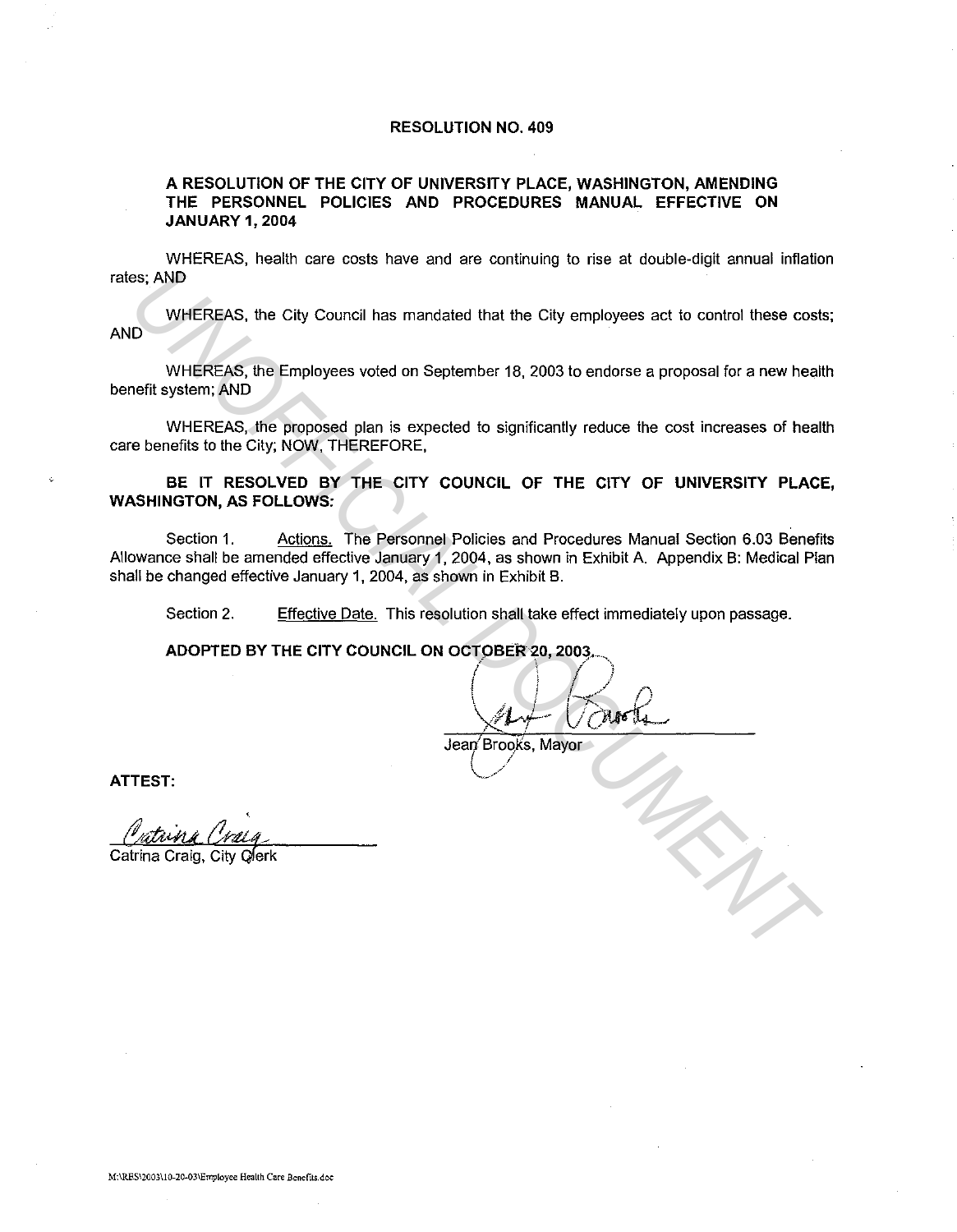## RESOLUTION NO. 409

# A RESOLUTION OF THE CITY OF UNIVERSITY PLACE, WASHINGTON, AMENDING THE PERSONNEL POLICIES AND PROCEDURES MANUAL EFFECTIVE ON JANUARY 1, 2004

WHEREAS, health care costs have and are continuing to rise at double-digit annual inflation rates; AND

WHEREAS, the City Council has mandated that the City employees act to control these costs; AND

WHEREAS, the Employees voted on September 18, 2003 to endorse a proposal for a new health benefit system; AND

WHEREAS, the proposed plan is expected to significantly reduce the cost increases of health care benefits to the City; NOW, THEREFORE,

BE IT RESOLVED BY THE CITY COUNCIL OF THE CITY OF UNIVERSITY PLACE, WASHINGTON, AS FOLLOWS:

Section 1. Actions. The Personnel Policies and Procedures Manual Section 6.03 Benefits Allowance shall be amended effective January 1, 2004, as shown in Exhibit A. Appendix B: Medical Plan shall be changed effective January 1, 2004, as shown in Exhibit B. **UNIFICENS, the City Council has mandated that the City omployees act to control these cost<br>
WHEREAS, the Employees voted on September 18, 2003 to endorse a proposal for a new heal<br>
WHEREAS, the proposed plan is expected t** 

Section 2. Effective Date. This resolution shall take effect immediately upon passage.

ADOPTED BY THE CITY COUNCIL ON OCTOBER 20, 2003.

**I**  $\sqrt{2}$  *p*  $\sqrt{4+10}$  $\alpha$ 

Jean Broo)is, Mayor ( */ -/* ATTEST:

Catrina Craig, City qferk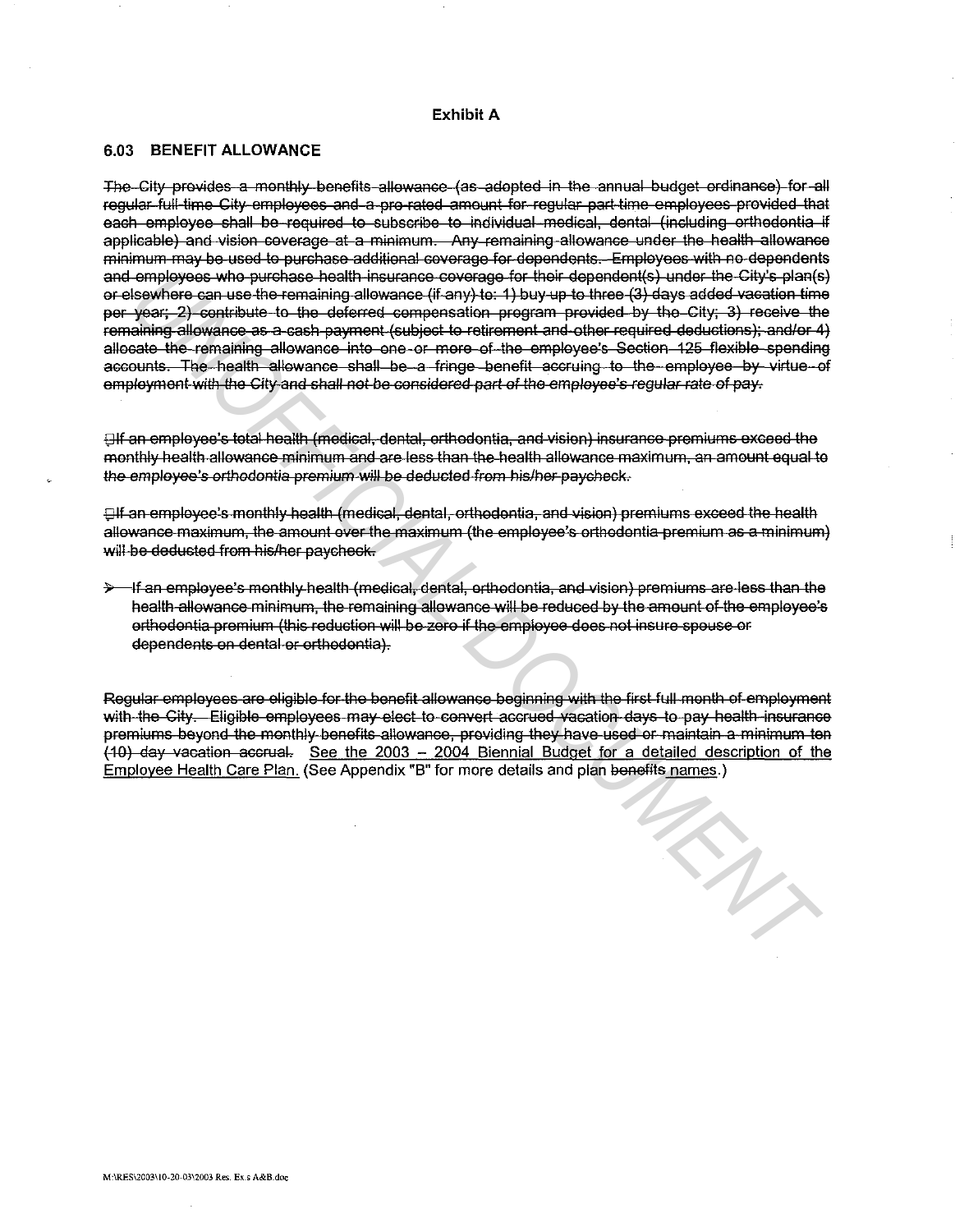## Exhibit A

#### 6.03 BENEFIT ALLOWANCE

The City provides a monthly benefits allowance (as adopted in the annual budget ordinance) for all regular full-time City employees and a pro-rated amount for regular part-time employees provided that each employee shall be required to subscribe to individual medical, dental (including orthodontia if applicable) and vision coverage at a minimum. Any remaining allowance under the health allowance minimum may be used to purchase additional coverage for dependents. Employees with no dependents and employees who purchase health insurance coverage for their dependent(s) under the City's plan(s) or elsewhere can use the remaining allowance (if any) to: 1) buy up to three (3) days added vacation time per year; 2) contribute to the deferred componsation program provided by the City; 3) receive the remaining allowance as a cash payment (subject to retirement and other required deductions); and/or 4) allocate the remaining allowance into one or more of the employee's Section 125 flexible spending accounts. The health allowance shall be a fringe benefit accruing to the employee by virtue of employment with the City and shall not be considered part of the employee's regular rate of pay.

Elf an employee's total health (medical, dental, orthodontia, and vision) insurance premiums exceed the monthly health allowance minimum and are less than the health allowance maximum, an amount equal to the employee's orthodontia premium will be deducted from his/her paycheck.

**Elf an employee's monthly health (medical, dental, orthodontia, and vision) premiums exceed the health** allowance maximum, the amount over the maximum (the employee's orthodontia premium as a minimum) will be deducted from his/her paycheck.

> If an employee's monthly health (medical, dental, orthodontia, and vision) premiums are less than the health allowance minimum, the remaining allowance will be reduced by the amount of the employee's orthodontia premium (this reduction will be zero if the employee does not insure spouse or dependents on dental or orthodontia).

Regular employees are eligible for the benefit allowance beginning with the first full month of employment with the City. Eligible employees may elect to convert accrued vacation days to pay health insurance premiums beyond the monthly benefits allowance, providing they have used or maintain a minimum ten (10) day vacation accrual. See the 2003 - 2004 Biennial Budget for a detailed description of the Employee Health Care Plan. (See Appendix "B" for more details and plan benefits names.)

THIS MIN